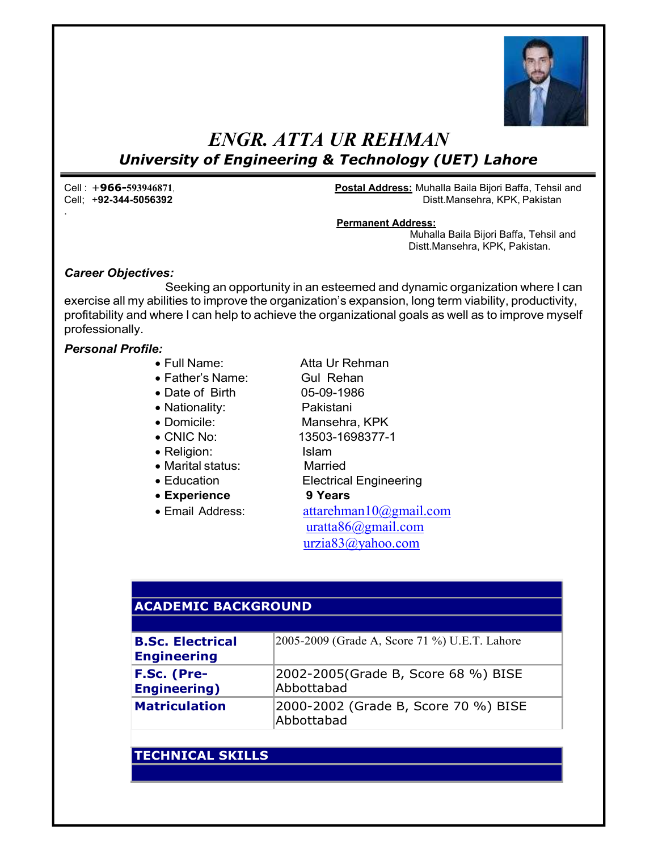

# ENGR. ATTA UR REHMAN University of Engineering & Technology (UET) Lahore

.

Cell : +966-593946871, Postal Address: Muhalla Baila Bijori Baffa, Tehsil and Distt.Mansehra, KPK, Pakistan

#### Permanent Address:

Muhalla Baila Bijori Baffa, Tehsil and Distt.Mansehra, KPK, Pakistan.

#### Career Objectives:

Seeking an opportunity in an esteemed and dynamic organization where I can exercise all my abilities to improve the organization's expansion, long term viability, productivity, profitability and where I can help to achieve the organizational goals as well as to improve myself professionally.

### Personal Profile:

- Full Name: Atta Ur Rehman
- Father's Name: Gul Rehan
- Date of Birth 05-09-1986
- Nationality: Pakistani
	-
	-
- 
- Marital status: Married
- 
- Experience 9 Years
- 

- 
- Domicile: Mansehra, KPK
- CNIC No: 13503-1698377-1
- Religion: Islam
	-
- Education **Electrical Engineering** 
	-

 $\bullet$  Email Address:  $\bullet$  attarehman10@gmail.com uratta86@gmail.com urzia83@yahoo.com

## ACADEMIC BACKGROUND

| <b>B.Sc. Electrical</b><br><b>Engineering</b> | 2005-2009 (Grade A, Score 71 %) U.E.T. Lahore      |
|-----------------------------------------------|----------------------------------------------------|
| F.Sc. (Pre-<br><b>Engineering</b> )           | 2002-2005 (Grade B, Score 68 %) BISE<br>Abbottabad |
| <b>Matriculation</b>                          | 2000-2002 (Grade B, Score 70 %) BISE<br>Abbottabad |

## TECHNICAL SKILLS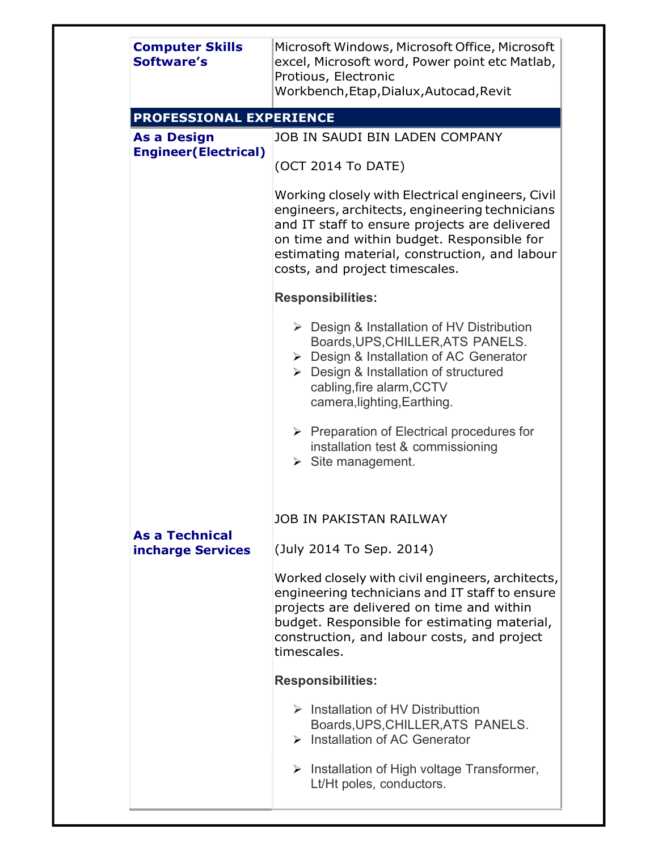| <b>Computer Skills</b><br>Software's               | Microsoft Windows, Microsoft Office, Microsoft<br>excel, Microsoft word, Power point etc Matlab,<br>Protious, Electronic<br>Workbench, Etap, Dialux, Autocad, Revit                                                                                                                  |
|----------------------------------------------------|--------------------------------------------------------------------------------------------------------------------------------------------------------------------------------------------------------------------------------------------------------------------------------------|
| PROFESSIONAL EXPERIENCE                            |                                                                                                                                                                                                                                                                                      |
| <b>As a Design</b><br><b>Engineer (Electrical)</b> | JOB IN SAUDI BIN LADEN COMPANY<br>(OCT 2014 To DATE)                                                                                                                                                                                                                                 |
|                                                    | Working closely with Electrical engineers, Civil<br>engineers, architects, engineering technicians<br>and IT staff to ensure projects are delivered<br>on time and within budget. Responsible for<br>estimating material, construction, and labour<br>costs, and project timescales. |
|                                                    | <b>Responsibilities:</b>                                                                                                                                                                                                                                                             |
|                                                    | $\triangleright$ Design & Installation of HV Distribution<br>Boards, UPS, CHILLER, ATS PANELS.<br>$\triangleright$ Design & Installation of AC Generator<br>> Design & Installation of structured<br>cabling, fire alarm, CCTV<br>camera, lighting, Earthing.                        |
|                                                    | $\triangleright$ Preparation of Electrical procedures for<br>installation test & commissioning<br>$\triangleright$ Site management.                                                                                                                                                  |
| <b>As a Technical</b>                              | <b>JOB IN PAKISTAN RAILWAY</b>                                                                                                                                                                                                                                                       |
| incharge Services                                  | (July 2014 To Sep. 2014)                                                                                                                                                                                                                                                             |
|                                                    | Worked closely with civil engineers, architects,<br>engineering technicians and IT staff to ensure<br>projects are delivered on time and within<br>budget. Responsible for estimating material,<br>construction, and labour costs, and project<br>timescales.                        |
|                                                    | <b>Responsibilities:</b>                                                                                                                                                                                                                                                             |
|                                                    | $\triangleright$ Installation of HV Distributtion<br>Boards, UPS, CHILLER, ATS PANELS.<br>$\triangleright$ Installation of AC Generator                                                                                                                                              |
|                                                    | $\triangleright$ Installation of High voltage Transformer,<br>Lt/Ht poles, conductors.                                                                                                                                                                                               |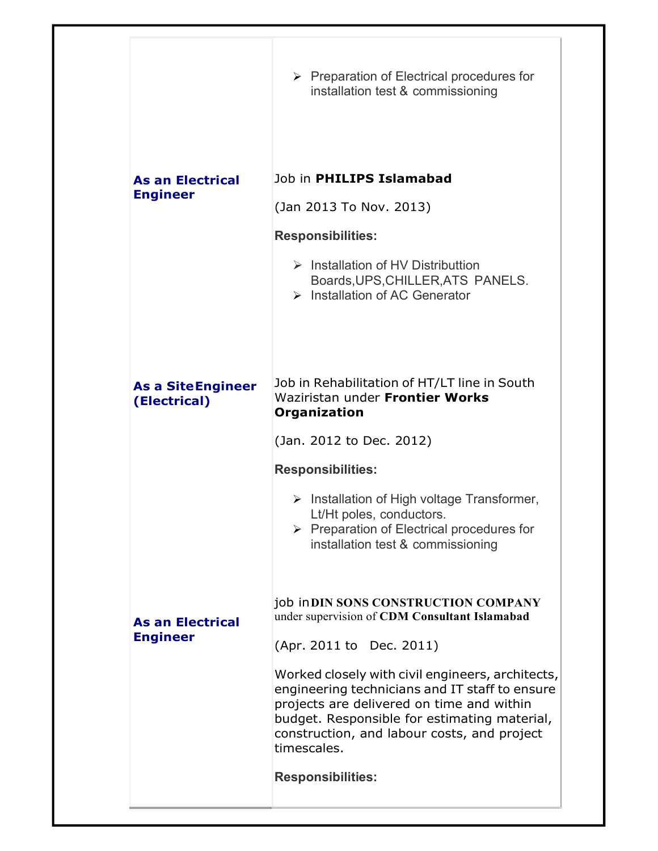| Job in PHILIPS Islamabad<br><b>As an Electrical</b><br><b>Engineer</b><br>(Jan 2013 To Nov. 2013)<br><b>Responsibilities:</b><br>$\triangleright$ Installation of HV Distributtion<br>Boards, UPS, CHILLER, ATS PANELS.<br>$\triangleright$ Installation of AC Generator<br>Job in Rehabilitation of HT/LT line in South<br><b>As a SiteEngineer</b><br>Waziristan under Frontier Works<br>(Electrical)<br>Organization<br>(Jan. 2012 to Dec. 2012)<br><b>Responsibilities:</b><br>$\triangleright$ Installation of High voltage Transformer,<br>Lt/Ht poles, conductors.<br>$\triangleright$ Preparation of Electrical procedures for<br>installation test & commissioning<br>job in DIN SONS CONSTRUCTION COMPANY<br>under supervision of CDM Consultant Islamabad<br><b>As an Electrical</b><br><b>Engineer</b><br>(Apr. 2011 to Dec. 2011)<br>Worked closely with civil engineers, architects,<br>engineering technicians and IT staff to ensure<br>projects are delivered on time and within<br>budget. Responsible for estimating material,<br>construction, and labour costs, and project<br>timescales.<br><b>Responsibilities:</b> | $\triangleright$ Preparation of Electrical procedures for<br>installation test & commissioning |  |
|---------------------------------------------------------------------------------------------------------------------------------------------------------------------------------------------------------------------------------------------------------------------------------------------------------------------------------------------------------------------------------------------------------------------------------------------------------------------------------------------------------------------------------------------------------------------------------------------------------------------------------------------------------------------------------------------------------------------------------------------------------------------------------------------------------------------------------------------------------------------------------------------------------------------------------------------------------------------------------------------------------------------------------------------------------------------------------------------------------------------------------------------|------------------------------------------------------------------------------------------------|--|
|                                                                                                                                                                                                                                                                                                                                                                                                                                                                                                                                                                                                                                                                                                                                                                                                                                                                                                                                                                                                                                                                                                                                             |                                                                                                |  |
|                                                                                                                                                                                                                                                                                                                                                                                                                                                                                                                                                                                                                                                                                                                                                                                                                                                                                                                                                                                                                                                                                                                                             |                                                                                                |  |
|                                                                                                                                                                                                                                                                                                                                                                                                                                                                                                                                                                                                                                                                                                                                                                                                                                                                                                                                                                                                                                                                                                                                             |                                                                                                |  |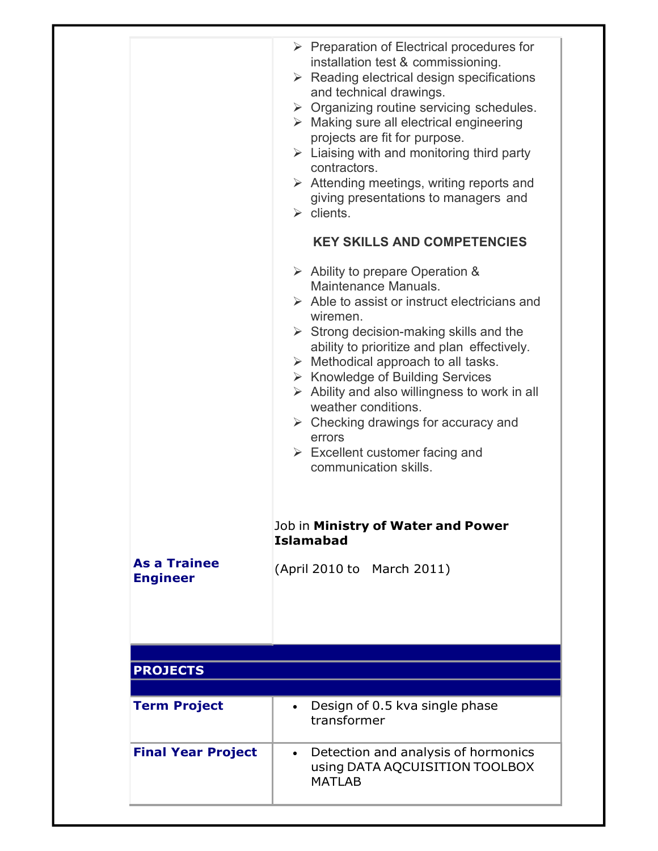|                                        | $\triangleright$ Preparation of Electrical procedures for<br>installation test & commissioning.<br>$\triangleright$ Reading electrical design specifications<br>and technical drawings.<br>$\triangleright$ Organizing routine servicing schedules.<br>$\triangleright$ Making sure all electrical engineering<br>projects are fit for purpose.<br>$\triangleright$ Liaising with and monitoring third party<br>contractors.<br>$\triangleright$ Attending meetings, writing reports and<br>giving presentations to managers and<br>$\triangleright$ clients.                                            |
|----------------------------------------|----------------------------------------------------------------------------------------------------------------------------------------------------------------------------------------------------------------------------------------------------------------------------------------------------------------------------------------------------------------------------------------------------------------------------------------------------------------------------------------------------------------------------------------------------------------------------------------------------------|
|                                        | <b>KEY SKILLS AND COMPETENCIES</b>                                                                                                                                                                                                                                                                                                                                                                                                                                                                                                                                                                       |
|                                        | $\triangleright$ Ability to prepare Operation &<br>Maintenance Manuals.<br>$\triangleright$ Able to assist or instruct electricians and<br>wiremen.<br>$\triangleright$ Strong decision-making skills and the<br>ability to prioritize and plan effectively.<br>$\triangleright$ Methodical approach to all tasks.<br>$\triangleright$ Knowledge of Building Services<br>$\triangleright$ Ability and also willingness to work in all<br>weather conditions.<br>$\triangleright$ Checking drawings for accuracy and<br>errors<br>$\triangleright$ Excellent customer facing and<br>communication skills. |
|                                        | Job in Ministry of Water and Power                                                                                                                                                                                                                                                                                                                                                                                                                                                                                                                                                                       |
|                                        | <b>Islamabad</b>                                                                                                                                                                                                                                                                                                                                                                                                                                                                                                                                                                                         |
| <b>As a Trainee</b><br><b>Engineer</b> | (April 2010 to March 2011)                                                                                                                                                                                                                                                                                                                                                                                                                                                                                                                                                                               |
| <b>PROJECTS</b>                        |                                                                                                                                                                                                                                                                                                                                                                                                                                                                                                                                                                                                          |
|                                        |                                                                                                                                                                                                                                                                                                                                                                                                                                                                                                                                                                                                          |
| <b>Term Project</b>                    | Design of 0.5 kva single phase<br>transformer                                                                                                                                                                                                                                                                                                                                                                                                                                                                                                                                                            |
| <b>Final Year Project</b>              | Detection and analysis of hormonics<br>$\bullet$<br>using DATA AQCUISITION TOOLBOX<br><b>MATLAB</b>                                                                                                                                                                                                                                                                                                                                                                                                                                                                                                      |